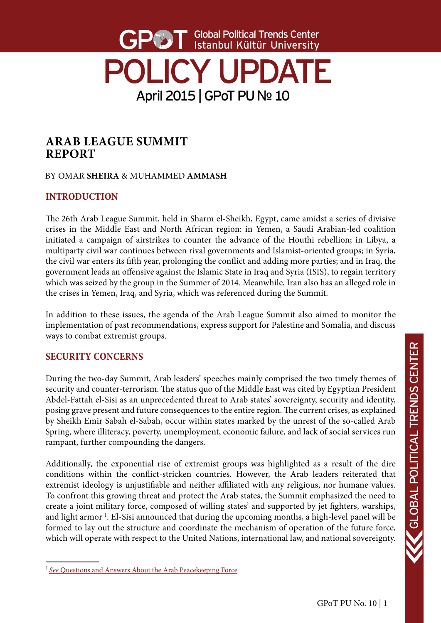# Global Political Trends Center Istanbul Kültür University POLICY UPDATE April 2015 | GPoT PU № 10

# **ARAB LEAGUE SUMMIT REPORT**

BY OMAR **SHEIRA** & MUHAMMED **AMMASH**

# **INTRODUCTION**

The 26th Arab League Summit, held in Sharm el-Sheikh, Egypt, came amidst a series of divisive crises in the Middle East and North African region: in Yemen, a Saudi Arabian-led coalition initiated a campaign of airstrikes to counter the advance of the Houthi rebellion; in Libya, a multiparty civil war continues between rival governments and Islamist-oriented groups; in Syria, the civil war enters its fifth year, prolonging the conflict and adding more parties; and in Iraq, the government leads an offensive against the Islamic State in Iraq and Syria (ISIS), to regain territory which was seized by the group in the Summer of 2014. Meanwhile, Iran also has an alleged role in the crises in Yemen, Iraq, and Syria, which was referenced during the Summit.

In addition to these issues, the agenda of the Arab League Summit also aimed to monitor the implementation of past recommendations, express support for Palestine and Somalia, and discuss ways to combat extremist groups.

## **SECURITY CONCERNS**

During the two-day Summit, Arab leaders' speeches mainly comprised the two timely themes of security and counter-terrorism. The status quo of the Middle East was cited by Egyptian President Abdel-Fattah el-Sisi as an unprecedented threat to Arab states' sovereignty, security and identity, posing grave present and future consequences to the entire region. The current crises, as explained by Sheikh Emir Sabah el-Sabah, occur within states marked by the unrest of the so-called Arab Spring, where illiteracy, poverty, unemployment, economic failure, and lack of social services run rampant, further compounding the dangers.

Additionally, the exponential rise of extremist groups was highlighted as a result of the dire conditions within the conflict-stricken countries. However, the Arab leaders reiterated that extremist ideology is unjustifiable and neither affiliated with any religious, nor humane values. To confront this growing threat and protect the Arab states, the Summit emphasized the need to create a joint military force, composed of willing states' and supported by jet fighters, warships, and light armor<sup>1</sup>. El-Sisi announced that during the upcoming months, a high-level panel will be formed to lay out the structure and coordinate the mechanism of operation of the future force, which will operate with respect to the United Nations, international law, and national sovereignty.

<sup>&</sup>lt;sup>1</sup> See [Questions and Answers About the Arab Peacekeeping Force](http://www.nytimes.com/aponline/2015/03/28/world/middleeast/ap-ml-arab-force-qa.html)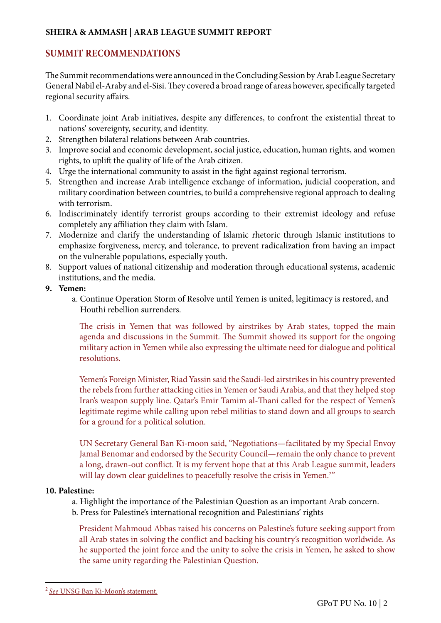#### **SHEIRA & AMMASH | ARAB LEAGUE SUMMIT REPORT**

### **SUMMIT RECOMMENDATIONS**

The Summit recommendations were announced in the Concluding Session by Arab League Secretary General Nabil el-Araby and el-Sisi. They covered a broad range of areas however, specifically targeted regional security affairs.

- 1. Coordinate joint Arab initiatives, despite any differences, to confront the existential threat to nations' sovereignty, security, and identity.
- 2. Strengthen bilateral relations between Arab countries.
- 3. Improve social and economic development, social justice, education, human rights, and women rights, to uplift the quality of life of the Arab citizen.
- 4. Urge the international community to assist in the fight against regional terrorism.
- 5. Strengthen and increase Arab intelligence exchange of information, judicial cooperation, and military coordination between countries, to build a comprehensive regional approach to dealing with terrorism.
- 6. Indiscriminately identify terrorist groups according to their extremist ideology and refuse completely any affiliation they claim with Islam.
- 7. Modernize and clarify the understanding of Islamic rhetoric through Islamic institutions to emphasize forgiveness, mercy, and tolerance, to prevent radicalization from having an impact on the vulnerable populations, especially youth.
- 8. Support values of national citizenship and moderation through educational systems, academic institutions, and the media.
- **9. Yemen:**
	- a. Continue Operation Storm of Resolve until Yemen is united, legitimacy is restored, and Houthi rebellion surrenders.

The crisis in Yemen that was followed by airstrikes by Arab states, topped the main agenda and discussions in the Summit. The Summit showed its support for the ongoing military action in Yemen while also expressing the ultimate need for dialogue and political resolutions.

Yemen's Foreign Minister, Riad Yassin said the Saudi-led airstrikes in his country prevented the rebels from further attacking cities in Yemen or Saudi Arabia, and that they helped stop Iran's weapon supply line. Qatar's Emir Tamim al-Thani called for the respect of Yemen's legitimate regime while calling upon rebel militias to stand down and all groups to search for a ground for a political solution.

UN Secretary General Ban Ki-moon said, "Negotiations—facilitated by my Special Envoy Jamal Benomar and endorsed by the Security Council—remain the only chance to prevent a long, drawn-out conflict. It is my fervent hope that at this Arab League summit, leaders will lay down clear guidelines to peacefully resolve the crisis in Yemen.<sup>2"</sup>

#### **10. Palestine:**

a. Highlight the importance of the Palestinian Question as an important Arab concern.

b. Press for Palestine's international recognition and Palestinians' rights

President Mahmoud Abbas raised his concerns on Palestine's future seeking support from all Arab states in solving the conflict and backing his country's recognition worldwide. As he supported the joint force and the unity to solve the crisis in Yemen, he asked to show the same unity regarding the Palestinian Question.

<sup>2</sup>*See* [UNSG Ban Ki-Moon's statement.](http://www.un.org/apps/news/story.asp?NewsID=50448#.VRushvmUd8E)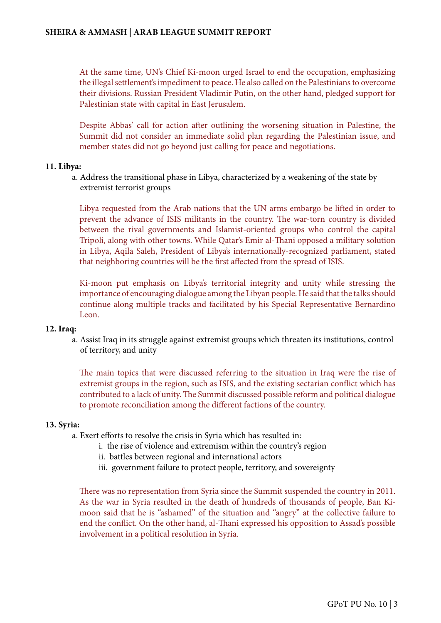At the same time, UN's Chief Ki-moon urged Israel to end the occupation, emphasizing the illegal settlement's impediment to peace. He also called on the Palestinians to overcome their divisions. Russian President Vladimir Putin, on the other hand, pledged support for Palestinian state with capital in East Jerusalem.

Despite Abbas' call for action after outlining the worsening situation in Palestine, the Summit did not consider an immediate solid plan regarding the Palestinian issue, and member states did not go beyond just calling for peace and negotiations.

#### **11. Libya:**

a. Address the transitional phase in Libya, characterized by a weakening of the state by extremist terrorist groups

Libya requested from the Arab nations that the UN arms embargo be lifted in order to prevent the advance of ISIS militants in the country. The war-torn country is divided between the rival governments and Islamist-oriented groups who control the capital Tripoli, along with other towns. While Qatar's Emir al-Thani opposed a military solution in Libya, Aqila Saleh, President of Libya's internationally-recognized parliament, stated that neighboring countries will be the first affected from the spread of ISIS.

Ki-moon put emphasis on Libya's territorial integrity and unity while stressing the importance of encouraging dialogue among the Libyan people. He said that the talks should continue along multiple tracks and facilitated by his Special Representative Bernardino Leon.

#### **12. Iraq:**

a. Assist Iraq in its struggle against extremist groups which threaten its institutions, control of territory, and unity

The main topics that were discussed referring to the situation in Iraq were the rise of extremist groups in the region, such as ISIS, and the existing sectarian conflict which has contributed to a lack of unity. The Summit discussed possible reform and political dialogue to promote reconciliation among the different factions of the country.

#### **13. Syria:**

a. Exert efforts to resolve the crisis in Syria which has resulted in:

- i. the rise of violence and extremism within the country's region
- ii. battles between regional and international actors
- iii. government failure to protect people, territory, and sovereignty

There was no representation from Syria since the Summit suspended the country in 2011. As the war in Syria resulted in the death of hundreds of thousands of people, Ban Kimoon said that he is "ashamed" of the situation and "angry" at the collective failure to end the conflict. On the other hand, al-Thani expressed his opposition to Assad's possible involvement in a political resolution in Syria.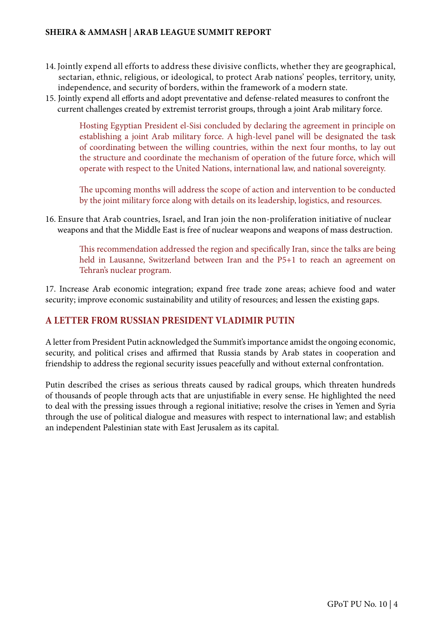#### **SHEIRA & AMMASH | ARAB LEAGUE SUMMIT REPORT**

- 14. Jointly expend all efforts to address these divisive conflicts, whether they are geographical, sectarian, ethnic, religious, or ideological, to protect Arab nations' peoples, territory, unity, independence, and security of borders, within the framework of a modern state.
- 15. Jointly expend all efforts and adopt preventative and defense-related measures to confront the current challenges created by extremist terrorist groups, through a joint Arab military force.

Hosting Egyptian President el-Sisi concluded by declaring the agreement in principle on establishing a joint Arab military force. A high-level panel will be designated the task of coordinating between the willing countries, within the next four months, to lay out the structure and coordinate the mechanism of operation of the future force, which will operate with respect to the United Nations, international law, and national sovereignty.

The upcoming months will address the scope of action and intervention to be conducted by the joint military force along with details on its leadership, logistics, and resources.

16. Ensure that Arab countries, Israel, and Iran join the non-proliferation initiative of nuclear weapons and that the Middle East is free of nuclear weapons and weapons of mass destruction.

This recommendation addressed the region and specifically Iran, since the talks are being held in Lausanne, Switzerland between Iran and the P5+1 to reach an agreement on Tehran's nuclear program.

17. Increase Arab economic integration; expand free trade zone areas; achieve food and water security; improve economic sustainability and utility of resources; and lessen the existing gaps.

### **A LETTER FROM RUSSIAN PRESIDENT VLADIMIR PUTIN**

A letter from President Putin acknowledged the Summit's importance amidst the ongoing economic, security, and political crises and affirmed that Russia stands by Arab states in cooperation and friendship to address the regional security issues peacefully and without external confrontation.

Putin described the crises as serious threats caused by radical groups, which threaten hundreds of thousands of people through acts that are unjustifiable in every sense. He highlighted the need to deal with the pressing issues through a regional initiative; resolve the crises in Yemen and Syria through the use of political dialogue and measures with respect to international law; and establish an independent Palestinian state with East Jerusalem as its capital.